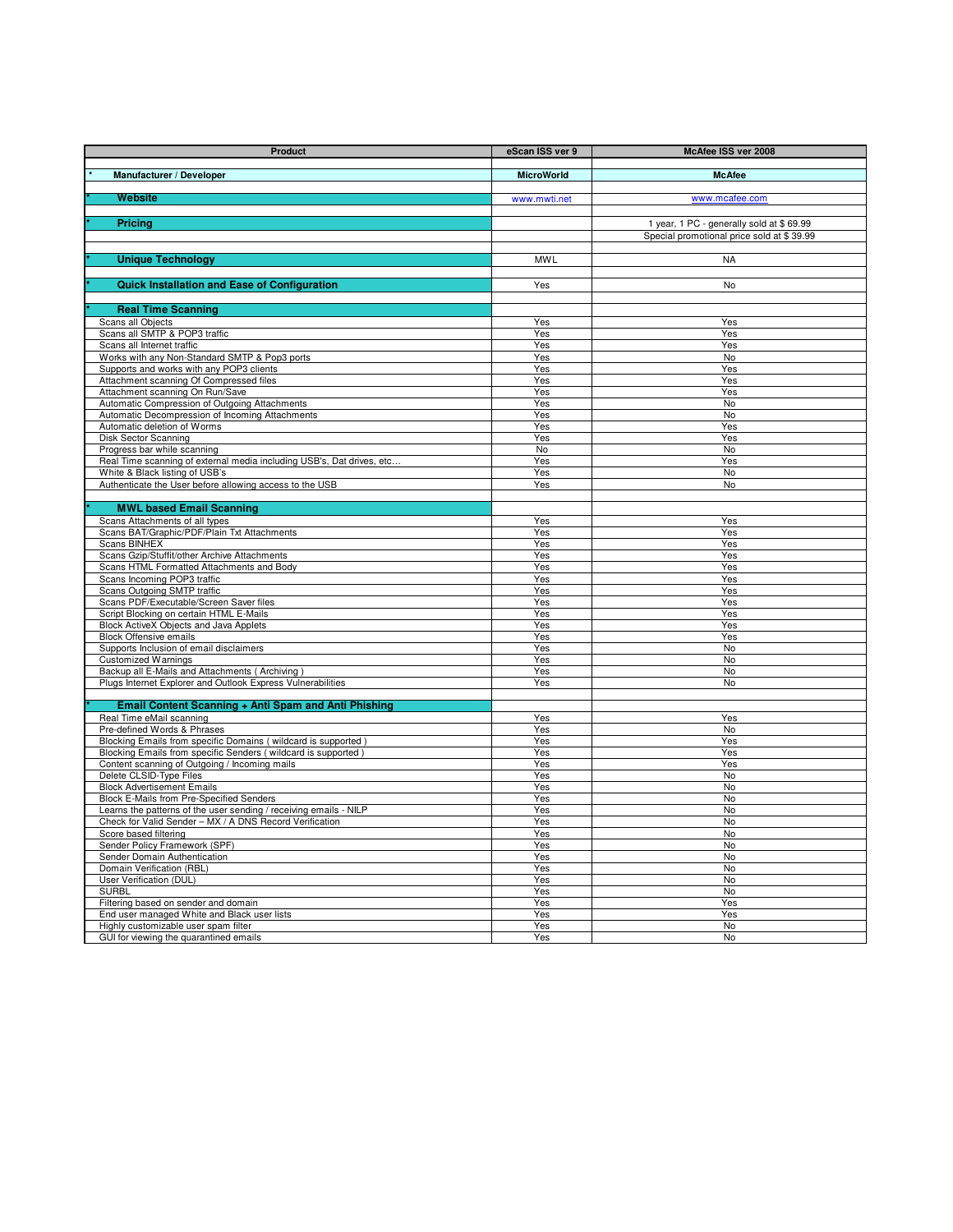| Product                                                                                          | eScan ISS ver 9   | McAfee ISS ver 2008                       |
|--------------------------------------------------------------------------------------------------|-------------------|-------------------------------------------|
| Manufacturer / Developer                                                                         | <b>MicroWorld</b> | <b>McAfee</b>                             |
|                                                                                                  |                   |                                           |
| <b>Website</b>                                                                                   | www.mwti.net      | www.mcafee.com                            |
|                                                                                                  |                   |                                           |
| <b>Pricing</b>                                                                                   |                   | 1 year, 1 PC - generally sold at \$69.99  |
|                                                                                                  |                   | Special promotional price sold at \$39.99 |
|                                                                                                  |                   |                                           |
| <b>Unique Technology</b>                                                                         | <b>MWL</b>        | <b>NA</b>                                 |
| <b>Quick Installation and Ease of Configuration</b>                                              | Yes               | <b>No</b>                                 |
|                                                                                                  |                   |                                           |
| <b>Real Time Scanning</b>                                                                        |                   |                                           |
| Scans all Objects                                                                                | Yes               | Yes                                       |
| Scans all SMTP & POP3 traffic                                                                    | Yes               | Yes                                       |
| Scans all Internet traffic                                                                       | Yes               | Yes                                       |
| Works with any Non-Standard SMTP & Pop3 ports                                                    | Yes               | <b>No</b>                                 |
| Supports and works with any POP3 clients                                                         | Yes               | Yes                                       |
| Attachment scanning Of Compressed files                                                          | Yes               | Yes                                       |
| Attachment scanning On Run/Save                                                                  | Yes               | Yes                                       |
| Automatic Compression of Outgoing Attachments<br>Automatic Decompression of Incoming Attachments | Yes<br>Yes        | No<br>No                                  |
| Automatic deletion of Worms                                                                      | Yes               | Yes                                       |
| <b>Disk Sector Scanning</b>                                                                      | Yes               | Yes                                       |
| Progress bar while scanning                                                                      | No                | No                                        |
| Real Time scanning of external media including USB's, Dat drives, etc                            | Yes               | Yes                                       |
| White & Black listing of USB's                                                                   | Yes               | $\overline{N}$                            |
| Authenticate the User before allowing access to the USB                                          | Yes               | No                                        |
|                                                                                                  |                   |                                           |
| <b>MWL based Email Scanning</b>                                                                  |                   |                                           |
| Scans Attachments of all types                                                                   | Yes               | Yes                                       |
| Scans BAT/Graphic/PDF/Plain Txt Attachments                                                      | Yes               | Yes                                       |
| <b>Scans BINHEX</b><br>Scans Gzip/Stuffit/other Archive Attachments                              | Yes<br>Yes        | Yes<br>Yes                                |
| Scans HTML Formatted Attachments and Body                                                        | Yes               | Yes                                       |
| Scans Incoming POP3 traffic                                                                      | Yes               | Yes                                       |
| Scans Outgoing SMTP traffic                                                                      | Yes               | Yes                                       |
| Scans PDF/Executable/Screen Saver files                                                          | Yes               | Yes                                       |
| Script Blocking on certain HTML E-Mails                                                          | Yes               | Yes                                       |
| Block ActiveX Objects and Java Applets                                                           | Yes               | Yes                                       |
| <b>Block Offensive emails</b>                                                                    | Yes               | Yes                                       |
| Supports Inclusion of email disclaimers<br><b>Customized Warnings</b>                            | Yes<br>Yes        | No<br>No                                  |
| Backup all E-Mails and Attachments (Archiving)                                                   | Yes               | No                                        |
| Plugs Internet Explorer and Outlook Express Vulnerabilities                                      | Yes               | No                                        |
|                                                                                                  |                   |                                           |
| Email Content Scanning + Anti Spam and Anti Phishing                                             |                   |                                           |
| Real Time eMail scanning                                                                         | Yes               | Yes                                       |
| Pre-defined Words & Phrases                                                                      | Yes               | No                                        |
| Blocking Emails from specific Domains (wildcard is supported)                                    | Yes               | Yes                                       |
| Blocking Emails from specific Senders (wildcard is supported)                                    | Yes               | Yes                                       |
| Content scanning of Outgoing / Incoming mails<br>Delete CLSID-Type Files                         | Yes<br>Yes        | Yes<br>No                                 |
| <b>Block Advertisement Emails</b>                                                                | Yes               | No                                        |
| Block E-Mails from Pre-Specified Senders                                                         | Yes               | No                                        |
| Learns the patterns of the user sending / receiving emails - NILP                                | Yes               | No                                        |
| Check for Valid Sender - MX / A DNS Record Verification                                          | Yes               | No                                        |
| Score based filtering                                                                            | Yes               | No                                        |
| Sender Policy Framework (SPF)                                                                    | Yes               | No                                        |
| Sender Domain Authentication                                                                     | Yes               | No                                        |
| Domain Verification (RBL)<br>User Verification (DUL)                                             | Yes               | No<br><b>No</b>                           |
| <b>SURBL</b>                                                                                     | Yes<br>Yes        | No                                        |
| Filtering based on sender and domain                                                             | Yes               | Yes                                       |
| End user managed White and Black user lists                                                      | Yes               | Yes                                       |
| Highly customizable user spam filter                                                             | Yes               | No                                        |
| GUI for viewing the quarantined emails                                                           | Yes               | No                                        |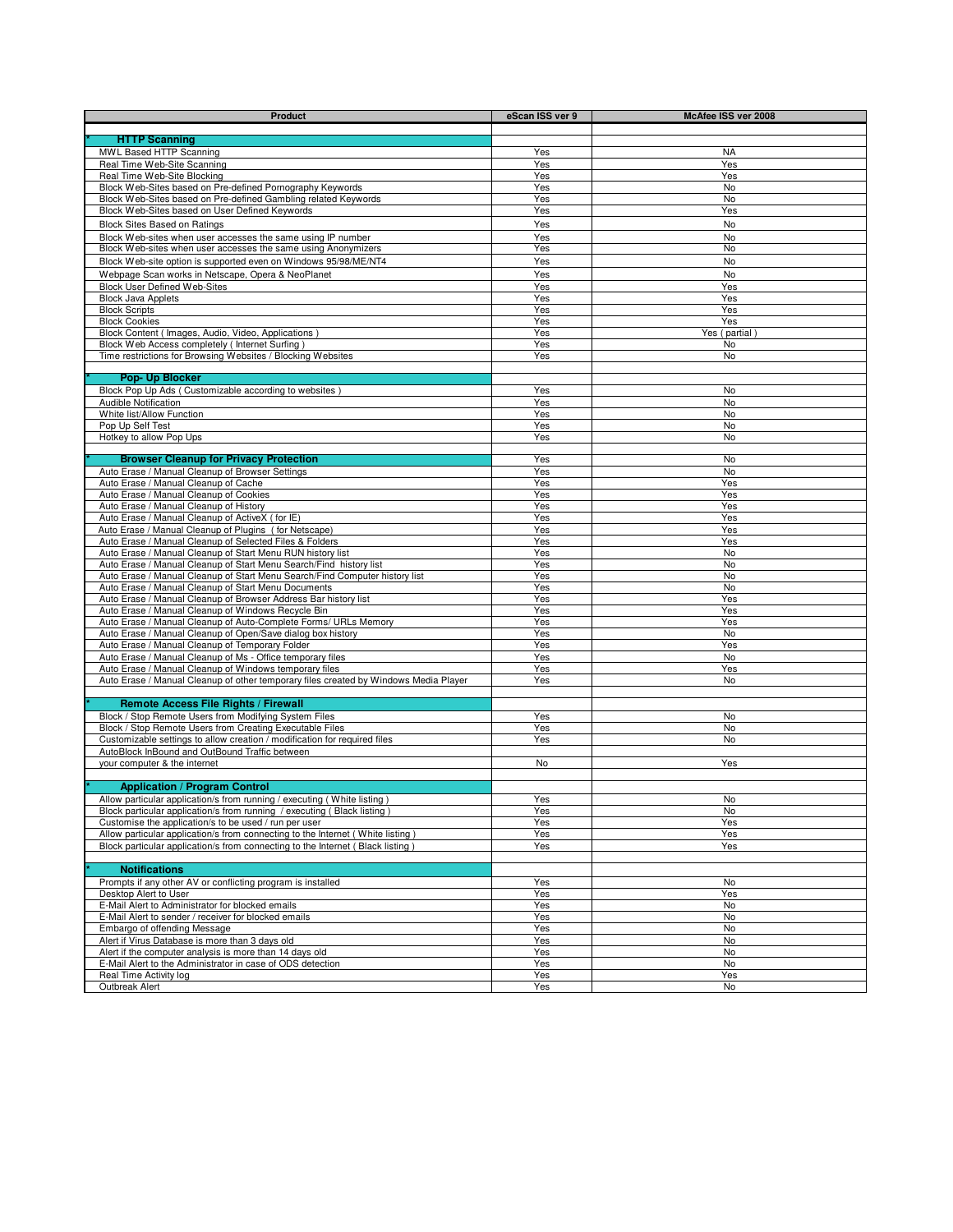| <b>Product</b>                                                                                                              | eScan ISS ver 9 | McAfee ISS ver 2008 |
|-----------------------------------------------------------------------------------------------------------------------------|-----------------|---------------------|
|                                                                                                                             |                 |                     |
| <b>HTTP Scanning</b>                                                                                                        |                 |                     |
| MWL Based HTTP Scanning                                                                                                     | Yes             | NA                  |
| Real Time Web-Site Scanning                                                                                                 | Yes             | Yes                 |
| Real Time Web-Site Blocking                                                                                                 | Yes             | Yes                 |
| Block Web-Sites based on Pre-defined Pornography Keywords<br>Block Web-Sites based on Pre-defined Gambling related Keywords | Yes<br>Yes      | No<br>No            |
| Block Web-Sites based on User Defined Keywords                                                                              | Yes             | Yes                 |
| <b>Block Sites Based on Ratings</b>                                                                                         | Yes             | No                  |
| Block Web-sites when user accesses the same using IP number                                                                 | Yes             | No                  |
| Block Web-sites when user accesses the same using Anonymizers                                                               | Yes             | No                  |
| Block Web-site option is supported even on Windows 95/98/ME/NT4                                                             | Yes             | No                  |
| Webpage Scan works in Netscape, Opera & NeoPlanet                                                                           | Yes             | No                  |
| Block User Defined Web-Sites                                                                                                | Yes             | Yes                 |
| <b>Block Java Applets</b>                                                                                                   | Yes             | Yes                 |
| <b>Block Scripts</b>                                                                                                        | Yes             | Yes                 |
| <b>Block Cookies</b>                                                                                                        | Yes             | Yes                 |
| Block Content (Images, Audio, Video, Applications)                                                                          | Yes             | Yes (partial)       |
| Block Web Access completely (Internet Surfing)                                                                              | Yes             | No                  |
| Time restrictions for Browsing Websites / Blocking Websites                                                                 | Yes             | No                  |
|                                                                                                                             |                 |                     |
| <b>Pop- Up Blocker</b><br>Block Pop Up Ads (Customizable according to websites)                                             | Yes             | No                  |
| Audible Notification                                                                                                        | Yes             | <b>No</b>           |
| White list/Allow Function                                                                                                   | Yes             | <b>No</b>           |
| Pop Up Self Test                                                                                                            | Yes             | No                  |
| Hotkey to allow Pop Ups                                                                                                     | Yes             | No                  |
|                                                                                                                             |                 |                     |
| <b>Browser Cleanup for Privacy Protection</b>                                                                               | Yes             | No                  |
| Auto Erase / Manual Cleanup of Browser Settings                                                                             | Yes             | No                  |
| Auto Erase / Manual Cleanup of Cache                                                                                        | Yes             | Yes                 |
| Auto Erase / Manual Cleanup of Cookies                                                                                      | Yes             | Yes                 |
| Auto Erase / Manual Cleanup of History                                                                                      | Yes             | Yes                 |
| Auto Erase / Manual Cleanup of ActiveX (for IE)<br>Auto Erase / Manual Cleanup of Plugins (for Netscape)                    | Yes<br>Yes      | Yes<br>Yes          |
| Auto Erase / Manual Cleanup of Selected Files & Folders                                                                     | Yes             | Yes                 |
| Auto Erase / Manual Cleanup of Start Menu RUN history list                                                                  | Yes             | No                  |
| Auto Erase / Manual Cleanup of Start Menu Search/Find history list                                                          | Yes             | No                  |
| Auto Erase / Manual Cleanup of Start Menu Search/Find Computer history list                                                 | Yes             | No                  |
| Auto Erase / Manual Cleanup of Start Menu Documents                                                                         | Yes             | No                  |
| Auto Erase / Manual Cleanup of Browser Address Bar history list                                                             | Yes             | Yes                 |
| Auto Erase / Manual Cleanup of Windows Recycle Bin                                                                          | Yes             | Yes                 |
| Auto Erase / Manual Cleanup of Auto-Complete Forms/ URLs Memory                                                             | Yes             | Yes                 |
| Auto Erase / Manual Cleanup of Open/Save dialog box history<br>Auto Erase / Manual Cleanup of Temporary Folder              | Yes<br>Yes      | No<br>Yes           |
| Auto Erase / Manual Cleanup of Ms - Office temporary files                                                                  | Yes             | No                  |
| Auto Erase / Manual Cleanup of Windows temporary files                                                                      | Yes             | Yes                 |
| Auto Erase / Manual Cleanup of other temporary files created by Windows Media Player                                        | Yes             | No                  |
|                                                                                                                             |                 |                     |
| <b>Remote Access File Rights / Firewall</b>                                                                                 |                 |                     |
| Block / Stop Remote Users from Modifying System Files                                                                       | Yes             | No                  |
| Block / Stop Remote Users from Creating Executable Files                                                                    | Yes             | No                  |
| Customizable settings to allow creation / modification for required files                                                   | Yes             | No                  |
| AutoBlock InBound and OutBound Traffic between                                                                              |                 |                     |
| your computer & the internet                                                                                                | No              | Yes                 |
| <b>Application / Program Control</b>                                                                                        |                 |                     |
| Allow particular application/s from running / executing (White listing)                                                     | Yes             | No                  |
| Block particular application/s from running / executing (Black listing)                                                     | Yes             | No                  |
| Customise the application/s to be used / run per user                                                                       | Yes             | Yes                 |
| Allow particular application/s from connecting to the Internet (White listing)                                              | Yes             | Yes                 |
| Block particular application/s from connecting to the Internet (Black listing)                                              | Yes             | Yes                 |
|                                                                                                                             |                 |                     |
| <b>Notifications</b>                                                                                                        |                 |                     |
| Prompts if any other AV or conflicting program is installed                                                                 | Yes             | No                  |
| Desktop Alert to User                                                                                                       | Yes             | Yes                 |
| E-Mail Alert to Administrator for blocked emails                                                                            | Yes             | No                  |
| E-Mail Alert to sender / receiver for blocked emails<br>Embargo of offending Message                                        | Yes<br>Yes      | No<br>No            |
| Alert if Virus Database is more than 3 days old                                                                             | Yes             | No                  |
| Alert if the computer analysis is more than 14 days old                                                                     | Yes             | No                  |
| E-Mail Alert to the Administrator in case of ODS detection                                                                  | Yes             | No                  |
| Real Time Activity log                                                                                                      | Yes             | Yes                 |
| Outbreak Alert                                                                                                              | Yes             | No                  |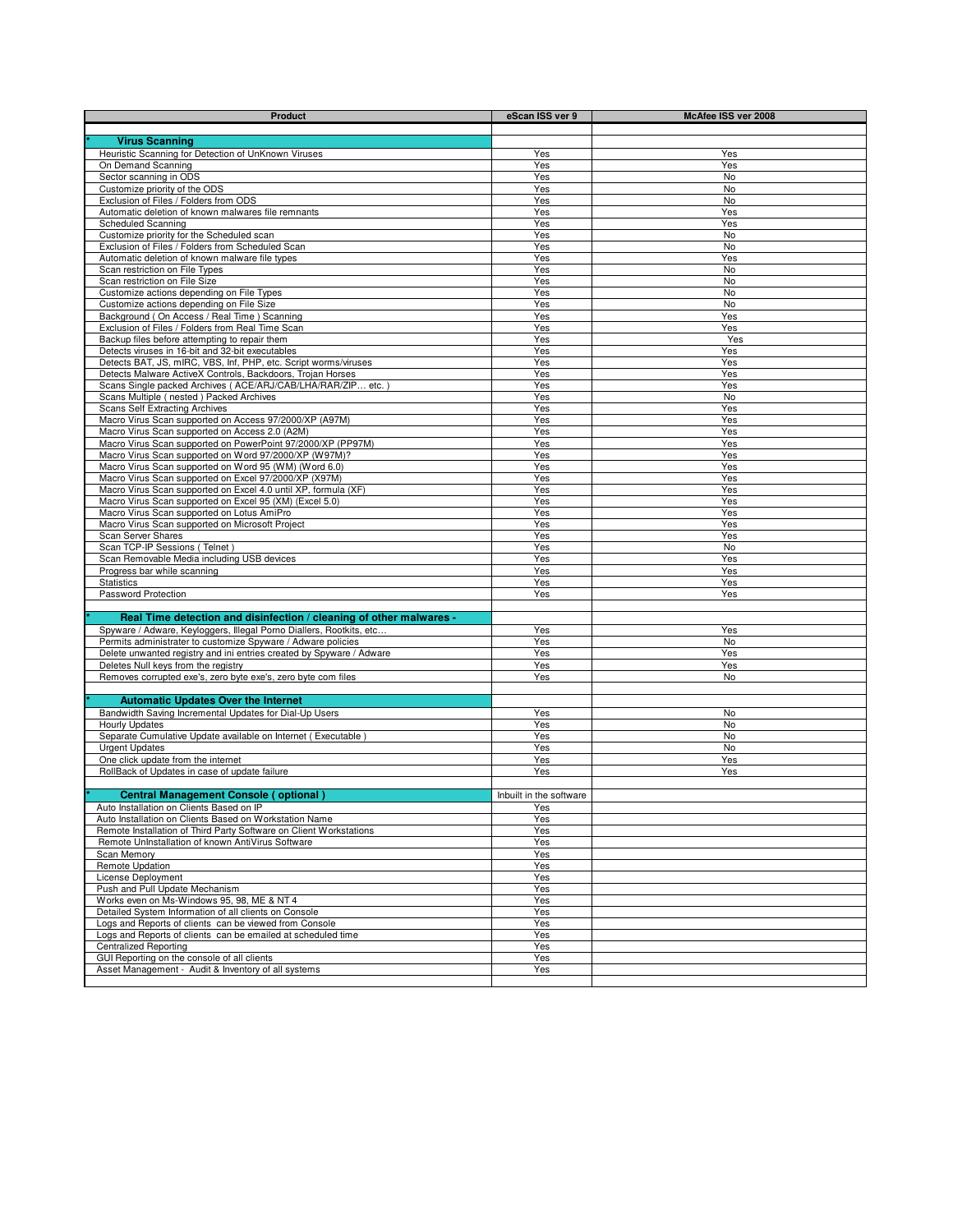| <b>Product</b>                                                                                                               | eScan ISS ver 9         | McAfee ISS ver 2008 |
|------------------------------------------------------------------------------------------------------------------------------|-------------------------|---------------------|
|                                                                                                                              |                         |                     |
| <b>Virus Scanning</b><br>Heuristic Scanning for Detection of UnKnown Viruses                                                 | Yes                     | Yes                 |
| On Demand Scanning                                                                                                           | Yes                     | Yes                 |
| Sector scanning in ODS                                                                                                       | Yes                     | No                  |
| Customize priority of the ODS                                                                                                | Yes                     | <b>No</b>           |
| Exclusion of Files / Folders from ODS                                                                                        | Yes                     | No                  |
| Automatic deletion of known malwares file remnants<br>Scheduled Scanning                                                     | Yes<br>Yes              | Yes<br>Yes          |
| Customize priority for the Scheduled scan                                                                                    | Yes                     | No                  |
| Exclusion of Files / Folders from Scheduled Scan                                                                             | Yes                     | No                  |
| Automatic deletion of known malware file types                                                                               | Yes                     | Yes                 |
| Scan restriction on File Types<br>Scan restriction on File Size                                                              | Yes<br>Yes              | No<br>No            |
| Customize actions depending on File Types                                                                                    | Yes                     | No                  |
| Customize actions depending on File Size                                                                                     | Yes                     | No                  |
| Background (On Access / Real Time) Scanning                                                                                  | Yes                     | Yes                 |
| Exclusion of Files / Folders from Real Time Scan                                                                             | Yes                     | Yes                 |
| Backup files before attempting to repair them<br>Detects viruses in 16-bit and 32-bit executables                            | Yes<br>Yes              | Yes<br>Yes          |
| Detects BAT, JS, mIRC, VBS, Inf, PHP, etc. Script worms/viruses                                                              | Yes                     | Yes                 |
| Detects Malware ActiveX Controls, Backdoors, Trojan Horses                                                                   | Yes                     | Yes                 |
| Scans Single packed Archives (ACE/ARJ/CAB/LHA/RAR/ZIP etc.)                                                                  | Yes                     | Yes                 |
| Scans Multiple (nested) Packed Archives                                                                                      | Yes                     | No                  |
| <b>Scans Self Extracting Archives</b><br>Macro Virus Scan supported on Access 97/2000/XP (A97M)                              | Yes<br>Yes              | Yes<br>Yes          |
| Macro Virus Scan supported on Access 2.0 (A2M)                                                                               | Yes                     | Yes                 |
| Macro Virus Scan supported on PowerPoint 97/2000/XP (PP97M)                                                                  | Yes                     | Yes                 |
| Macro Virus Scan supported on Word 97/2000/XP (W97M)?                                                                        | Yes                     | Yes                 |
| Macro Virus Scan supported on Word 95 (WM) (Word 6.0)<br>Macro Virus Scan supported on Excel 97/2000/XP (X97M)               | Yes                     | Yes                 |
| Macro Virus Scan supported on Excel 4.0 until XP, formula (XF)                                                               | Yes<br>Yes              | Yes<br>Yes          |
| Macro Virus Scan supported on Excel 95 (XM) (Excel 5.0)                                                                      | Yes                     | Yes                 |
| Macro Virus Scan supported on Lotus AmiPro                                                                                   | Yes                     | Yes                 |
| Macro Virus Scan supported on Microsoft Project                                                                              | Yes                     | Yes                 |
| Scan Server Shares<br>Scan TCP-IP Sessions (Telnet)                                                                          | Yes<br>Yes              | Yes<br>No           |
| Scan Removable Media including USB devices                                                                                   | Yes                     | Yes                 |
| Progress bar while scanning                                                                                                  | Yes                     | Yes                 |
| <b>Statistics</b>                                                                                                            | Yes                     | Yes                 |
| Password Protection                                                                                                          | Yes                     | Yes                 |
| Real Time detection and disinfection / cleaning of other malwares -                                                          |                         |                     |
| Spyware / Adware, Keyloggers, Illegal Porno Diallers, Rootkits, etc                                                          | Yes                     | Yes                 |
| Permits administrater to customize Spyware / Adware policies                                                                 | Yes                     | <b>No</b>           |
| Delete unwanted registry and ini entries created by Spyware / Adware                                                         | Yes                     | Yes                 |
| Deletes Null keys from the registry<br>Removes corrupted exe's, zero byte exe's, zero byte com files                         | Yes<br>Yes              | Yes<br>No           |
|                                                                                                                              |                         |                     |
| <b>Automatic Updates Over the Internet</b>                                                                                   |                         |                     |
| Bandwidth Saving Incremental Updates for Dial-Up Users                                                                       | Yes                     | No                  |
| <b>Hourly Updates</b>                                                                                                        | Yes                     | No                  |
| Separate Cumulative Update available on Internet (Executable)<br><b>Urgent Updates</b>                                       | Yes<br>Yes              | No<br>No            |
| One click update from the internet                                                                                           | Yes                     | Yes                 |
| RollBack of Updates in case of update failure                                                                                | Yes                     | Yes                 |
|                                                                                                                              |                         |                     |
| <b>Central Management Console (optional)</b>                                                                                 | Inbuilt in the software |                     |
| Auto Installation on Clients Based on IP                                                                                     | Yes                     |                     |
| Auto Installation on Clients Based on Workstation Name<br>Remote Installation of Third Party Software on Client Workstations | <b>Yes</b><br>Yes       |                     |
| Remote UnInstallation of known AntiVirus Software                                                                            | Yes                     |                     |
| Scan Memory                                                                                                                  | Yes                     |                     |
| Remote Updation                                                                                                              | Yes                     |                     |
| License Deployment<br>Push and Pull Update Mechanism                                                                         | Yes<br>Yes              |                     |
| Works even on Ms-Windows 95, 98, ME & NT 4                                                                                   | Yes                     |                     |
| Detailed System Information of all clients on Console                                                                        | Yes                     |                     |
| Logs and Reports of clients can be viewed from Console                                                                       | Yes                     |                     |
| Logs and Reports of clients can be emailed at scheduled time                                                                 | Yes                     |                     |
| <b>Centralized Reporting</b><br>GUI Reporting on the console of all clients                                                  | Yes<br>Yes              |                     |
| Asset Management - Audit & Inventory of all systems                                                                          | Yes                     |                     |
|                                                                                                                              |                         |                     |